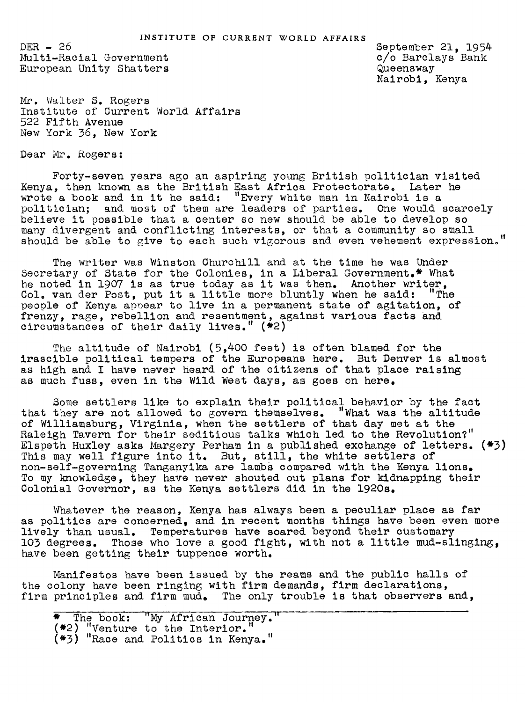$DER - 26$ Multi-Racial Government European Unity Shatters September 21, 1954 c/o Barclays Bank Queensway Nairobi, Kenya

Mr. Walter S. Rogers Institute of Current World Affairs 522 Fifth Avenue New York 36, New York

Dear Mr. Rogers:

Forty-seven years ago an aspiring young British politician visited Kenya, then known as the British East Africa Protectorate. Later he wrote a book and in it he said: "Every white man in Nairobi is a politician; and most of them are leaders of parties. One would scarcely believe it possible that a center so new should be able to develop so many divergent and conflicting interests, or that a community so small should be able to give to each such vigorous and even vehement expression."

The writer was Winston Churchill and at the time he was Under Secretary of State for the Colonies, in a Liberal Government.<sup>\*</sup> What he noted in 1907 is as true today as it was then. Another writer, Col. van der Post. put it a little more bluntly when he said: "The Col. van der Post, put it a little more bluntly when he said: people of Kenya appear to live in a permanent state of agitation, of frenzy, rage, rebellion and resentment, against various facts and circomstances of their daily lives." (\*2)

The altitude of Nairobi (5,400 feet) is often blamed for the irascible political tempers of the Europeans here. But Denver is almost as high and I have never heard of the citizens of that place raising as much fuss, even in the Wild West days, as goes on here.

Some settlers like to explain their political behavior by the fact that they are not allowed to govern themselves. "What was the altitude of Williamsburg, Virsinia, when the settlers of that day met at the Raleigh Tavern for their seditious talks which led to the Revolution?" Elspeth Huxley asks Margery Perham in a published exchange of letters. (\*3) This may well figure into it. But, still, the white settlers of non-self-governing Tanganyika are lambs compared with the Kenya lions. To my knowledge, they have never shouted out plans for kidnapping their Colonial Governor, as the Kenya settlers did in the 192Os.

Whatever the reason, Kenya has always been a peculiar place as far as politics are concerned, and in recent months things have been even more lively than usual. Temperatures have soared beyond their customary 103 degrees. Those who love a good fight, with not a little mud-slinging, have been getting their tuppence worth.

Manifestos have been issued by the reams and the public halls of the colony have been ringing with firm demands, firm declarations, firm principles and firm mud. The only trouble is that observers and,

<sup>\*</sup> The book: "My Africau Journey. '  $($   $\!\!$   $\!\!$   $\!\!2$   $\!)$   $\!\!$   $\!\!$   $\!\!$   $\!\!$   $\!\!$   $\!\!$   $\!\!$   $\!\!$   $\!\!$   $\!\!$   $\!\!$   $\!\!$   $\!\!$   $\!\!$   $\!\!$   $\!\!$   $\!\!$   $\!\!$   $\!\!$   $\!\!$   $\!\!$   $\!\!$   $\!\!$   $\!\!$   $\!\!$   $\!\!$   $\!\!$   $\!\!$   $\!\!$   $\!\!$   $\!\!$   $\!\!$  (#3) "Race and Politics in Kenya."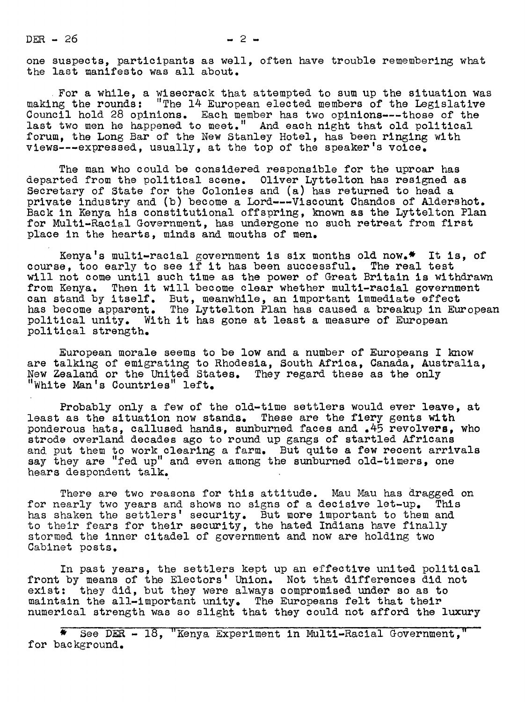$DER - 26$   $- 2$ 

one suspects, participants as well, often have trouble remembering what the last manifesto was all about.

For a while, a wisecrack that attempted to sum up the situation was making the rounds: "The 14 European elected members of the Legislative Council hold 28 opinions. Each member has two opinions---those of the last two men he happened to meet." And each night that old political forum, the Long Bar of the New Stanley Hotel, has been ringing with views---expressed, usually, at the top of the speaker's voice.

The man who could be considered responsible for the uproar has departed from the political scene. Oliver Lyttelton has resigned as Secretary of State for the Colonies and (a) has returned to head a private industry and (b) become a Lord---Viscount Chandos of Aldershot. Back in Kenya his constitutional offspring, known as the Lyttelton Plan for Multi-Racial Government, has undergone no such retreat from first place in the hearts, minds and mouths of men.

Kenya's multi-racial government is six months old now.\* It is, of course, too early to see if it has been successful. The real test will not come until such time as the power of Great Britain is withdrawn from Kenya. Then it will become clear whether multi-racial government can stand by itself. But, meanwhile, an important immediate effect has become apparent. The Lyttelton Plan has caused a breakup in European political unity. With it has gone at least a measure of European political strength.

European morale seems to be low and a number of Europeans I know are talking of emigrating to Rhodesia, South Africa, Canada, Australia, New Zealand or the United States. They regard these as the only "White Man's Countries" left.

Probably only a few of the old-time settlers would ever leave, at least as the situation now stands. These are the fiery gents with ponderous hats, callused hands, sunburned faces and .45 revolvers, who strode overland decades ago to round up gangs of startled Africans and put them to work clearing a farm. But quite a few recent arrivals say they are "fed up" and even among the sunburned old-timers, one hears despondent talk.

There are two reasons for this attitude. Mau Mau has dragged on for nearly two years and shows no signs of a decisive let-up. This has shaken the settlers' security. But more important to them and to their fears for their security, the hated Indians have finally stormed the inner citadel of government and now are holding two Cabinet posts.

In past years, the settlers kept up an effective united political front by means of the Electors' Union. Not that differences did not  $\texttt{exist: }$  they did, but they were always compromised under so as to maintain the all-important unity. The Europeans felt that their numerical strength was so slight that they could not afford the luxury

\* See DEE 18, "Kenya Experiment in Multi-Racial Government, for background.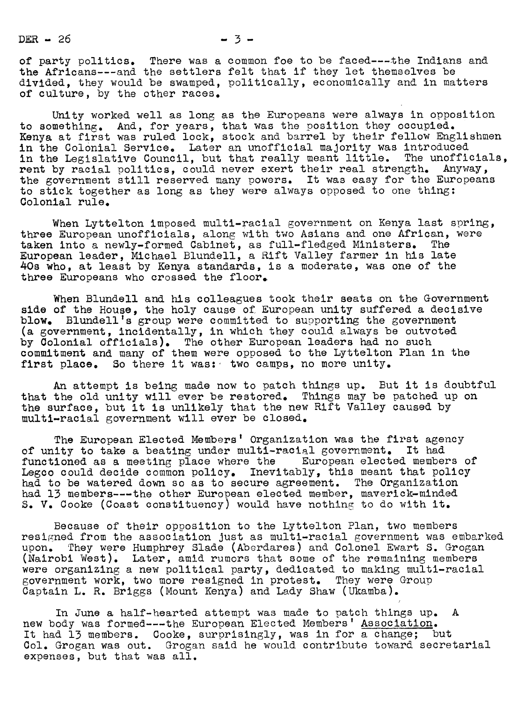DER  $-26$   $-3$   $-3$ 

of party politics. There was a common foe to be faced---the Indians and the Africans---and the settlers felt that if they let themselves be divided, they would be swamped, politically, economically and in matters of culture, by the other races.

Unity worked well as long as the Europeans were always in opposition to something. And, for years, that was the position they occupied. Kenya at first was ruled lock, stock and barrel by their fellow Englishmen in the Colonial Service. Later an unofficial majority was introduced in the Legislative Council, but that really meant little. The unofficials, rent by racial politics, could never exert their real strength. Anyway, the government still reserved many powers. It was easy for the Europeans to stick together as long as they were always opposed to one thing: Colonial rule.

When Lyttelton imposed multi-racial government on Kenya last spring, three European unofficials, along with two Asians and one African, were taken into a newly-formed Cabinet, as full-fledged Ministers. The European leader, Michael Blundell, a Rift Valley farmer in his late 40s who, at least by Kenya standards, is a moderate, was one of the three Europeans who crossed the floor.

When Blundell and his colleagues took their seats on the Government side of the House, the holy cause of European unity suffered a decisive blow. Blundell's group were committed to supporting the government (a government, incidentally, in which they could always be outvoted by Colonial officials). The other European leaders had no such commitment and many of them were opposed to the Lyttelton Plan in the first place. So there it was: two camps, no more unity.

An attempt is being made now to patch things up. But it is doubtful that the old unity will ever be restored. Things may be patched up on the surface, but it is unlikely that the new Rift Valley caused by multl-racial government will ever be closed.

The European Elected Members' Organization was the first agency of unity to take a beating under multi-racial government. It had functioned as a meeting place where the European elected members of Legco could decide common policy. Inevitably, this meant that policy had to be watered down so as to secure agreement. The Organization had 13 members---the other European elected member, maverick-minded S. V. Cooke (Coast constituency) would have nothing to do with it.

Because of their opoosition to the Lyttelton Plan, two members resigned from the association just as multi-racial government was embarked upon. They were Humphrey Slade (Aberdares) and Colonel Ewart S. Grogan (Nairobi West). Later, amid rumors that some of the remaining members were organizing a new political party, dedicated to making multi-racial government work, two more resigned in protest. They were Group Captain L. R. Briggs (Mount Kenya) and Lady Shaw (Ukamba).

In June a half-hearted attempt was made to patch things up. A new body was formed---the European Elected Members' Association. It had 13 members. Cooke, surprisingly, was in for a change; but Col. Grogan was out. Grogan said he would contribute toward secretarial expenses, but that was all.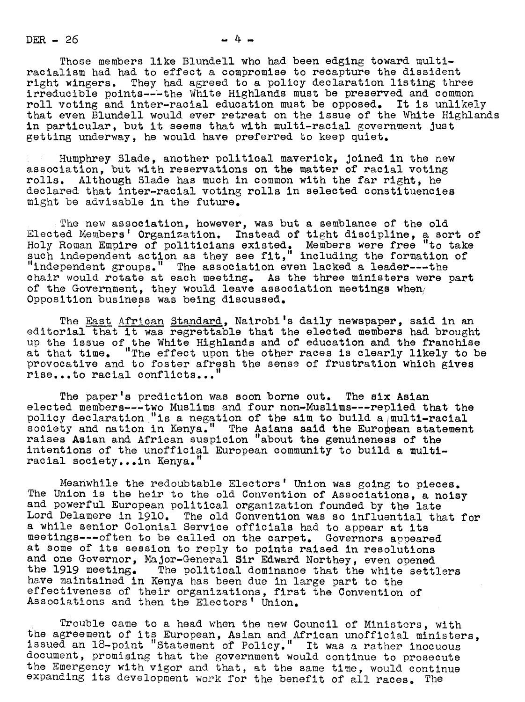$DER - 26$   $- 4 -$ 

Those members like Blundell who had been edging toward multiracialism had had to effect a compromise to recapture the dissident right wingers. They had agreed to a policy declaration listing three irreducible points---the White Highlands must be preserved and common roll voting and inter-racial education must be opposed. It is unlikely that even Blundell would ever retreat on the issue of the White Highlands in particular, but it seems that with multi-racial government just getting underway, he would have preferred to keep quiet.

Humphrey Slade, another political maverick, Joined in the new association, but with reservations on the matter of racial voting rolls. Although Slade has much in common with the far right, he declared that inter-racial voting rolls in selected constituencies might be advisable in the future.

The new association, however, was but a semblance of the old Elected Members' Organization. Instead of tight discipline, a sort of Holy Roman Empire of politicians existed. Members were free "to take such independent action as they see fit," including the formation of "independent groups." The association even lacked a leader---the chair would rotate at each meeting. As the three ministers were part of the Government, they would leave association meetings when/ Opposition business was being discussed.

The East African Standard, Nairobi's daily newspaper, said in an editorial that it was regrettable that the elected members had brought up the issue of the White Highlands and of education and the franchise at that time. "The effect upon the other races is clearly likely to be provocative and to foster afresh the sense of frustration which gives rise...to racial conflicts.. "

The paper's prediction was soon borne out. The six Asian elected members---two Muslims and four non-Muslims---replied that the policy declaration "is a negation of the aim to build a multi-racial society and nation in Kenya." The Asians said the European statement raises Asian and African suspicion "about the genuineness of the intentions of the unofficial European community to build a multiracial society...in Kenya.

Meanwhile the redoubtable Electors' Union was going to pieces. The Union is the heir to the old Convention of Associations, a noisy and powerful European political organization founded by the late Lord Delamere in 1910. The old Convention was so influential that for a while senior Colonial Service officials had to appear at its meetings---often to be called on the carpet. Governors appeared at some of its session to reply to points raised in resolutions and one Governor, Major-General Sir Edward Northey, even opened the 1919 meeting. The political dominance that the white settlers have maintained in Kenya has been due in large part to the effectiveness of their organizations, first the Convention of Associations and then the Electors' Union.

Trouble came to <sup>a</sup> head when the uew Council of Ministers, with he agreement of its European, Asian and African unofficial ministers, issued an 18-point "Statement of Policy." It was a rather inocuous document, promising that the government would continue to prosecute the Emergency with vigor and that, at the same time, would continue expanding its development work for the benefit of all races. The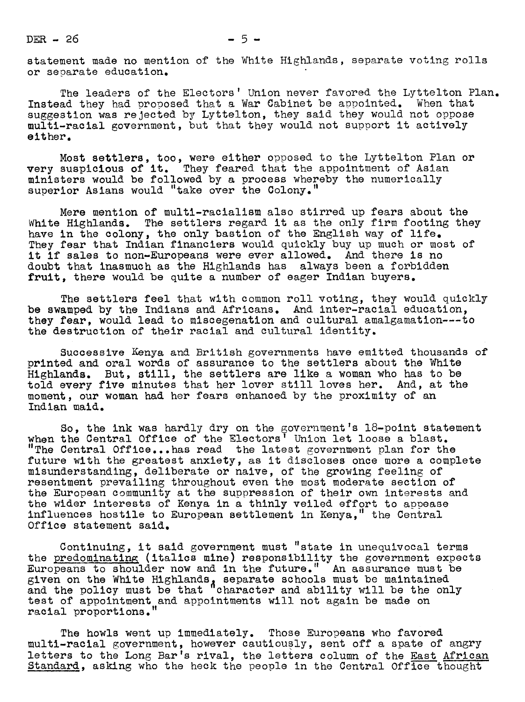$DER = 26$   $-5-$ 

statement made no mention of the White Highlands, separate voting rolls or separate education.

The leaders of the Electors' Union never favored the Lyttelton Plan. Instead they had proposed that a War Cabinet be appointed. When that suggestion was rejected by Lyttelton, they said they would not oppose multi-racial government, but that they would not support it actively either.

Most settlers, too, were either opposed to the Lyttelton Plan or very suspicious of it. They feared that the appointment of Asian ministers would be followed by a process whereby the numerically superior Asians would "take over the Colony."

Mere mention of multi-racialism also stirred up fears about the White Highlands. The settlers regard it as the only firm footing they have in the colony, the only bastion of the English way of life. They fear that Indian financiers would quickly buy up much or most of it if sales to non-Europeans were ever allowed. And there is no doubt that inasmuch as the Highlands has always been a forbidden fruit, there would be quite a number of eager Indian buyers.

The settlers feel that with common roll voting, they would quickly be swamped by the Indians and Africans. And inter-racial education. they fear, would lead to miscegenation and cultural amalgamation---to the destruction of their racial and cultural identity.

Successive Kenya and British goveruments have emitted thousands of printed and oral words of assurance to the settlers about the White Highlands. But, still, the settlers are like a woman who has to be told every five minutes that her lover still loves her. And, at the moment, our woman had her fears enhanced by the proximity of an Indian maid.

So, the ink was hardly dry on the government's 18-point statement when the Central Office of the Electors' Union let loose a blast. "The Central Office...has read the latest government plan for the future with the greatest anxiety, as it discloses once more a complete misunderstanding, deliberate or naive, of the growing feeling of resentment prevailing throughout even the most moderate section of the European community at the suppression of their own interests and the wider interests of Kenya in a thinly veiled effort to appease influences hostile to Europeau settlement in Kenya," the Central Office statement said.

Continuing, it said government must "state in unequivocal terms the predominating (italics mine) responsibility the government expects Europeans to shoulder now and in the future." An assurance must be given on the White Highlands, separate schools must be maintained and the policy must be that "character and ability will be the only test of appointment and appointments will not again be made on racial proportions.

The howls went up immediately. Those Europeans who favored multi-racial goverument, however cautiously, sent off a spate of augry letters to the Long Bar's rival, the letters column of the East African Standard, asking who the heck the people in the Central Office thought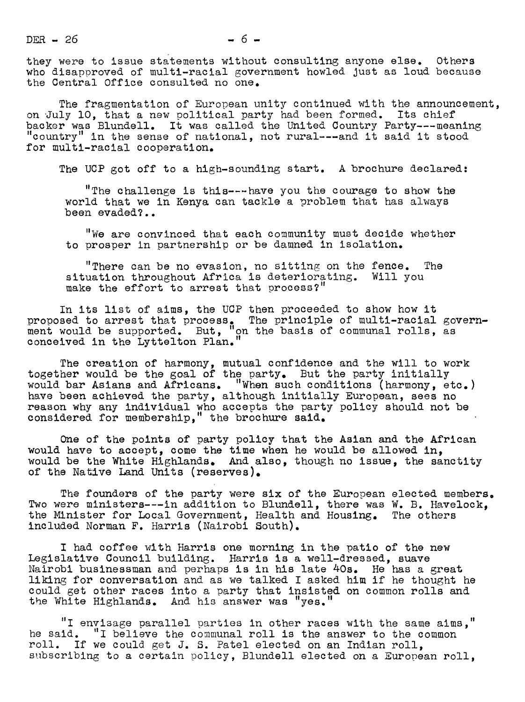$DER - 26$   $- 6 -$ 

they were to issue statements without consulting anyone else. Others who disapproved of multi-racial government howled just as loud because the Central Office consulted no one.

The fragmentation of European unity continued with the announcement, on-July lO, that a new political party had been formed. Its chief backer was Blundell. It was called the United Country Party---meaning "country" in the sense of national, not rural---and it said it stood for multi-racial cooperation.

The UCP got off to a high-sounding start. A brochure declared:

"The challenge is this---have you the courage to show the world that we in Kenya can tackle a problem that has always been evaded?..

"We are convinced that each community must decide whether to prosper in partnership or be damned in isolation.

"There can be no evasion, no sitting on the fence. The situation throughout Africa is deteriorating. Will you make the effort to arrest that process?"

In its list of aims, the UCP then proceeded to show how it proposed to arrest that process, The principle of multi-racial government would be supported. But, "on the basis of communal rolls, as conceived in the Lyttelton Plan."

The creation of harmony, mutual confidence and the will to work together would be the goal of the party. But the party initially would bar Asians and Africans. "When such conditions (harmony, etc. have been achieved the party, although initially European, sees no reason why any individual who accepts the party policy should not be considered for membership," the brochure said.

One of the points of party policy that the Asian and the African would have to accept, come the time when he would be allowed in, would be the White Highlands. And also, though no issue, the sanctity of the Native Land Units (reserves).

The founders of the party were six of the European elected members. Two were ministers---in addition to Blundell, there was W. B. Havelock, the Minister for Local Government, Health and Housing. The others included Norman F. Harris (Nairobi South).

I had coffee with Harris one morning in the patio of the new Legislative Council building. Harris is a well-dressed, suave Nairobi businessman and perhaps is in his late #Os. He has a great liking for conversation and as we talked I asked him if he thought he could get other races into a party that insisted on common rolls and the White Highlands. And his answer was "yes."

"I envisage parallel parties in other races with the same aims," he said. "I believe the communal roll is the answer to the common roll. If we could get J. S. Patel elected on an Indian roll. subscribing to a certain policy. Blundell elected on a European roll.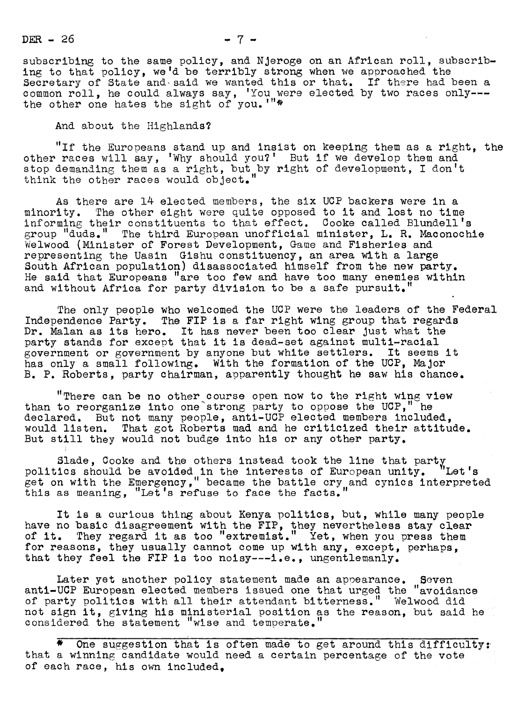$DER - 26$   $- 7 -$ 

subscribing to the same policy, and Njeroge on an African roll, subscribing to that policy, we'd be terribly strong when we approached the Secretary of State and said we wanted this or that. If there had been a common roll, he could always say, 'You were elected by two races only-- the other one hates the sight of you.'"\*

And about the Highlands?

"If the Europeans stand up and insist on keeping them as a right, the other races will say, 'Why should you?' But if we develop them and stop demanding them as a right, but by right of development, I don't think the other races would object.

As there are 14 elected members, the six UCP backers were in a minority. The other eight were quite opposed to it and lost no time informing their constituents to that effect. Cooke called Blundell's group "duds." The third European unofficial minister, L. R. Maconochie Welwood (Minister of Forest Development, Game and Fisheries and representing the Uasin Gishu constituency, an area with a large South African population) disassociated himself from the new party. He said that Europeans "are too few and have too many enemies within and without Africa for party division to be a safe pursuit.'

The only people who welcomed the UCP were the leaders of the Federal Independence Party. The FIP is a far right wing group that regards Dr. Malan as its hero. It has never been too clear Just what the party stands for except that it is dead-set against multi-racial government or government by anyone but white settlers. It seems it has only a small following. With the formation of the UCP, Major B. P. Roberts, party chairman, apparently thought he saw his chance.

"There can be no other course open now to the right wing view than to reorganize into one'strong party to oppose the UCP," he declared. But not many people, anti-UCP elected members included, would listen. That got Roberts mad and he criticized their attitude. But still they would not budge into his or any other party.

Slade, Cooke and the others instead took the line that party politics should be avoided in the interests of European unity. "Let's get on with the Emergency," became the battle cry and cynics interpreted this as meaning, "Let's refuse to face the facts."

It is a curious thing about Kenya politics, but, while many people have no basic disagreement with the FIP, they nevertheless stay clear of it. They regard it as too "extremist." Yet, when you press them for reasons, they usually cannot come up with any, except, perhaps, that they feel the FIP is too noisy---i.e., ungentlemanly.

Later yet another policy statement made an appearance. Seven anti-UCP European elected members issued one that urged the "avoidance of party politics with all their attendant bitterness." Welwood did not sign it, giving his ministerial position as the reason, but said he considered the statement "wise and temperate."

One suggestion that is often made to get around this difficulty: that a winning candidate would need a certain percentage of the vote of each race, his own included,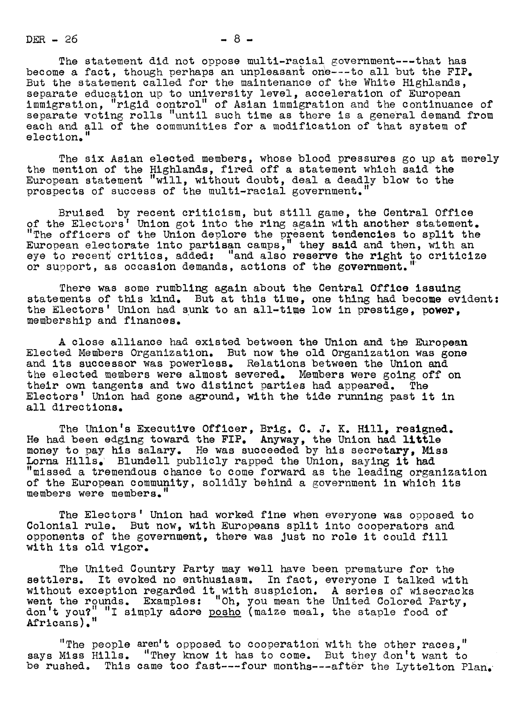$DER - 26$   $- 8 -$ 

The statement did not oppose multi-racial government---that has become a fact, though perhaps an unpleasant one---to all but the FIP. But the statement called for the maintenance of the White Highlands, separate education up to university level, acceleration of European immigration, "rigid control" of Asian immigration and the continuance of separate voting rolls "until such time as there is a general demand from each and all of the communities for a modification of that system of election.

The six Asian elected members, whose blood pressures go up at merely the mention of the Highlands, fired off a statement which said the European statement "will, without doubt, deal a deadly blow to the prospects of success of the multi-racial government.

Bruised by recent criticism, but still game, the Central Office of the Electors' Union got into the ring again with another statement. "The officers of the Union deplore the present tendencies to split the European electorate into partisan camps," they said and then, with an eye to recent critics, added: "and also reserve the right to criticize or support, as occasion demands, actions of the government. ''

There was some rumbling again about the Central Office issuing statements of this kind. But at this time, one thing had become evident: the Electors' Union had sunk to an all-time low in prestige, membership and finances.

A close alliance had existed between the Union and the European Elected Members Organization. But uow the old Organization was gone and its successor was powerless. Relations between the Union and the elected members were almost severed. Members were going off on their own tangents and two distinct parties had appeared. The their own tangents and two distinct parties had appeared. Electors' Union had gone aground, with the tide running past it in all directions.

The Union's Executive Officer, Brig. C. J. K. Hill, resigned. He had been edging toward the  $\texttt{FIP}_\bullet$  Anyway, the Union had little money to pay his salary. He was succeeded by his secretary, Miss Lorna Hills. Blundell publicly rapped the Union, saying it had "missed a tremendous chance to come forward as the leading organization of the European community, solidly behind a government in which its members were members."

The Electors' Union had worked fine wheu everyone was opposed to Colonial rule. But now, with Europeans split into cooperators aud opponents of the government, there was Just no role it could fill with its old vigor.

The United Country Party may well have been premature for the settlers. It evoked no enthusiasm. In fact, everyone I talked with without exception regarded it with suspicion. A series of wisecracks went the rounds. Examples: "Oh, you meau the United Colored Party, "I simply adore posho (maize meal, the staple food of don't you?"<br>Africans)."

"The people aren't oposed to cooperation with the other races," says Miss Hills. "They know it has to come. But they don't want to be rushed. This came too fast---four months---after the Lyttelton Plan.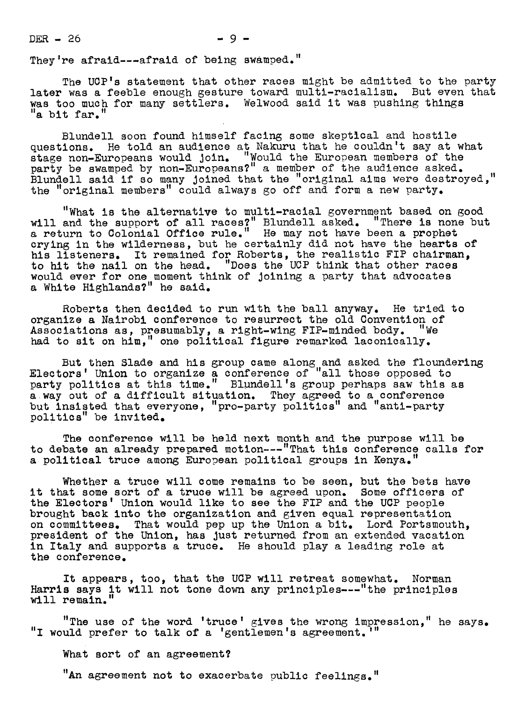$DER = 26$   $-9$   $-$ 

They're afraid---afraid of being swamped."

The UCP's statement that other races might be admitted to the party later was a feeble enough gesture toward multi-racialism. But even that was too much for many settlers. Welwood said it was pushing things "a bit far."

Blundell soon found himself facing some skeptical and hostile questions. He told an audience at Nakuru that he couldn't say at what stage non-Europeans would join. "Would the European members of the party be swamped by non-Europeans?" a member of the audience asked. Blundell said if so many joined that the "original aims were destroyed, the "original members" could always go off and form a new party.

"What is the alternative to multi-racial government based on good will and the support of all races?" Blundell asked. "There is none but a return to Colonial Office rule." He may not have been a prophet crying in the wilderness, but he certainly did not have the hearts of his listeners. It remained for Roberts, the realistic FIP chairman, to hit the nall on the head. "Does the UCP think that other races would ever for one moment think of Joining a party that advocates a White Highlands?" he said.

Roberts theu decided to run with the ball anyway. He tried to organize a Nairobi conference to resurrect the old Convention of Associations as, presumably, a right-wing FIP-minded body. "We had to sit on him," one political figure remarked laconically.

But then Slade and his group came along and asked the floundering Electors' Union to organize a conference of "all those opposed to party politics at this time." Blundell's group perhaps saw this as away out of a difficult situation. They agreed to a conference but insisted that everyone, "pro-party politics" and "anti-party politics" be invited.

The conference will be held next month and the purpose will be to debate an already prepared motion---"That this conference calls for a political truce among European political groups in Kenya."

Whether a truce will come remains to be seen, but the bets have it that some sort of a truce will be agreed upon. Some officers of the Electors' Union would like to see the FIP and the UCP people brought back into the organization and given equal representation on committees. That would pep up the Union a bit. Lord Portsmouth, president of the Union, has just returned from an extended vacation in Italy and supports a truce. He should play a leading role at the conference.

It appears, too, that the UCP will retreat somewhat. Norman Harris says it will not tone down any principles---"the principles will remain."

"The use of the word 'truce' gives the wrong impression, " he says . "I would prefer to talk of a 'gentlemen's agreement."

What sort of an agreement?

"An agreement not to exacerbate public feelings."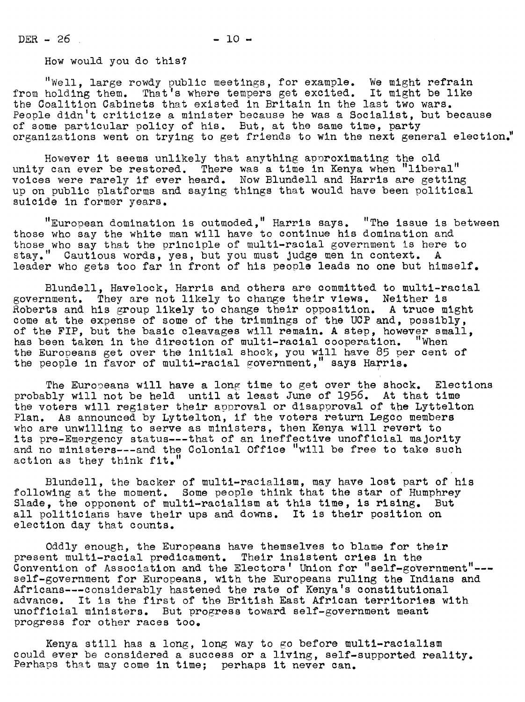$DER - 26$   $- 10 -$ 

How would you do this?

"Well, large rowdy public meetings, for example. We might refrain from holding them. That's where tempers get excited. It might be like the Coalition Cabinets that existed in Britain in the last two wars. People didn't criticize a minister because he was a Socialist, but because of some particular policy of his. But, at the same time, party organizations went on trying to get friends to win the next general election."

However it seems unlikely that anything approximating the old unity can ever be restored. There was a time in Kenya when "liberal" voices were rarely if ever heard. Now Bluudell and Harris are getting up on public platforms and saying things that would have been political suicide in former years.

"European domination is outmoded," Harris says. "The issue is between those who say the white man will have to continue his domination and those who say that the principle of multi-racial government is here to stay." Cautious words, yes, but you must judge men in context. A leader who gets too far in front of his people leads no one but himself.

Blundell, Havelock, Harris and others are committed to multi-racial government. They are not likely to change their views. Neither is Roberts and his group likely to change their opposition. A truce might come at the expense of some of the trimmings of the UCP and, possibly, of the FIP, but the basic cleavages will remain. A step, however small, has been taken in the direction of multi-racial cooperation. "When the Europeans get over the initial shock, you will have 85 per cent of the people in favor of multi-racial government," says Harris.

The Europeans will have a long time to get over the shock. Elections probably will not be held until at least June of 1956. At that time the voters will register their approval or disapproval of the Lyttelton Plan. As announced by Lyttelton, if the voters return Legco members who are unwilling to serve as ministers, then Kenya will revert to its pre-Emergency status---that of an ineffective unofficial majority and no ministers---and the Colonial Office "will be free to take such action as they think fit.

Blundell, the backer of multl-racialism, may have lost part of his following at the moment. Some people think that the star of Humphrey Slade, the opponent of multi-racialism at this time, is rising. But all politicians have their ups and downs. It is their position on election day that counts.

Oddly enough, the Europeans have themselves to blame for their present multi-racial predicament. Their insistent cries in the Convention of Association and the Electors' Union for "self-government"--self-government for Europeans, with the Europeans ruling the Indians and Africans---considerably hastened the rate of Kenya's constitutional advance. It is the first of the British East African territories with unofficial ministers. But progress toward self-government meant progress for other races too.

Kenya still has a long, long way to go before multi-racialism could ever be considered a success or a living, self-supported reality. Perhaps that may come in time; perhaps it never can.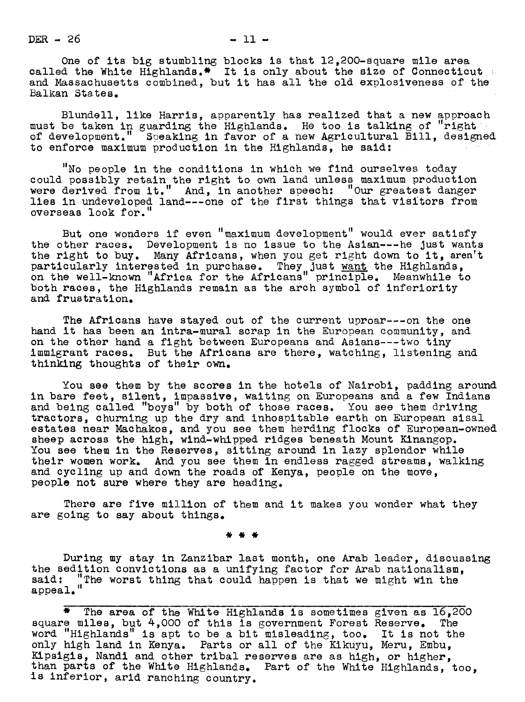$DER - 26$  - 11 -

One of its big stumbling blocks is that  $12,200$ -square mile area called the White Highlands. $\text{\textbf{*}}$  It is only about the size of Connecticut and Massachusetts combined, but it has all the old explosiveness of the Balkan States.

Blundell, like Harris, apparently has realized that a new approach must be taken in guarding the Highlands. He too is talking of "right of development." Speaking in favor of a new Agricultural Bill, designed to enforce maximum production in the Highlands, he said:

"No people in the conditions in which we find ourselves today could possibly retain the right to own laud unless maximum production were derived from it." And, in another speech: "Our greatest danger lies in undeveloped land---one of the first things that visitors from overseas look for.

But one wonders if even "maximum development" would ever satisfy the other races. Development is no issue to the Asian---he just wants the right to buy. Many Africans, when you get right down to it, aren't particularly interested in purchase. They just want the Highlands, on the well-known "Africa for the Africans" principle. Meanwhile to both races, the Highlands remain as the arch symbol of inferiority and frustration.

The Africans have stayed out of the current uproar---on the one hand it has been an intra-mural scrap in the European community, and on the other hand a fight between Europeans and Asians---two tiny immigrant races. But the Africans are there, watching, listening and thinking thoughts of their own.

You see them by the scores in the hotels of Nairobi, padding around in bare feet, silent, impassive, waiting on Europeans and a few Indians and being called "boys" by both of those races. You see them driving tractors, churning up the dry and inhospitable earth on European sisal estates near Machakos, and you see them herding flocks of European-owned sheep across the high, wiud-whipped ridges beneath Mount Kinangop. You see them in the Reserves, sitting around in lazy splendor while their women work. And you see them in endless ragged streams, walking and cycling up and down the roads of Kenya, people on the move, people not sure where they are heading.

There are five million of them and it makes you wonder what they are going to say about things.

During my stay in Zanzibar last month, one Arab leader, discussing the sedition convictions as a unifying factor for Arab nationalism. the sedition convictions as a unifying factor for Arab nationalism, said: "The worst thing that could happen is that we might win the appeal."

\* The area of the White Highlands is sometimes given as 16,200 square miles, but 4,000 of this is government Forest Reserve. The word "Highlands" is apt to be a bit misleading, too. It is not the only high land in Kenya. Parts or all of the Kikuyu, Meru, Embu, Kipsigis, Nandl and other tribal reserves are as high, or higher, than parts of the White Highlands. Part of the White Highlands, too, is inferior, arid ranching country.